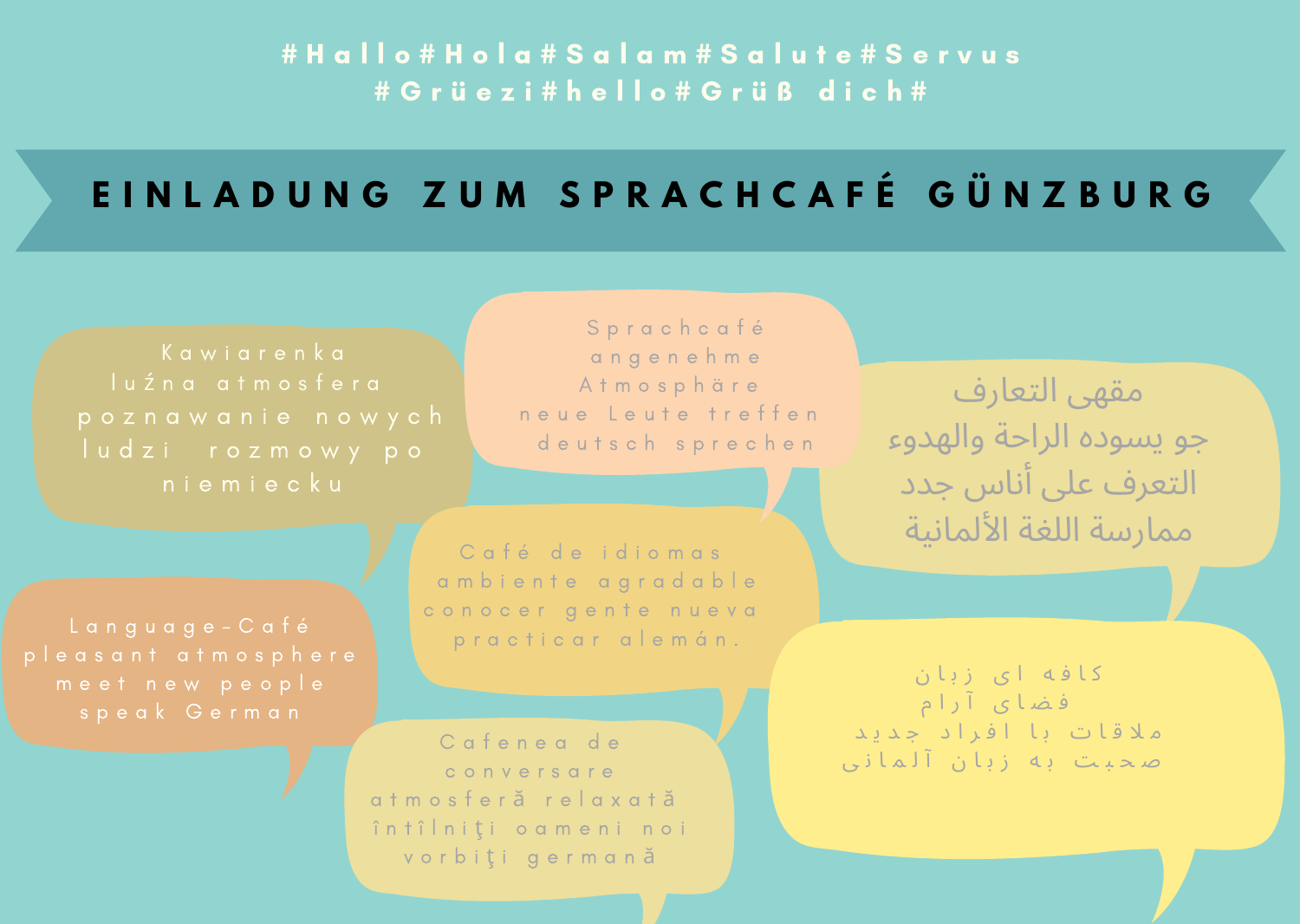#### # H a l l o # H o l a # S a l a m # S a l u t e # S e r v u s # G r ü e z i # h e l l o # G r ü ß d i c h #

## EINLADUNG ZUM SPRACHCAFÉ GÜNZBURG

S p r a c h c a f é a n g e n e h m e A t m o s p h ä r e n e u e Leute treffen d e u t s c h s p r e c h e n

Café de idiomas a m b i e n t e a g r a d a b l e conocer gente nueva p r a c t i c a r a l e m á n .

Cafenea de c o n v e r s a r e a t m o s f e r ă r e l a x a t ă în tî <sup>l</sup>niti o a meni noi v o r b i ti q e r m q n ă

مقهى التعارف جو يسوده الراحة والهدوء التعرف عىل أناس جدد ممارسة اللغة الألمانية

ک ا ف ه ا ی ز ب ا ن ف ض ا ی آ ر ا م ملاقات با افراد جدید صحیت به زبان آلمانی